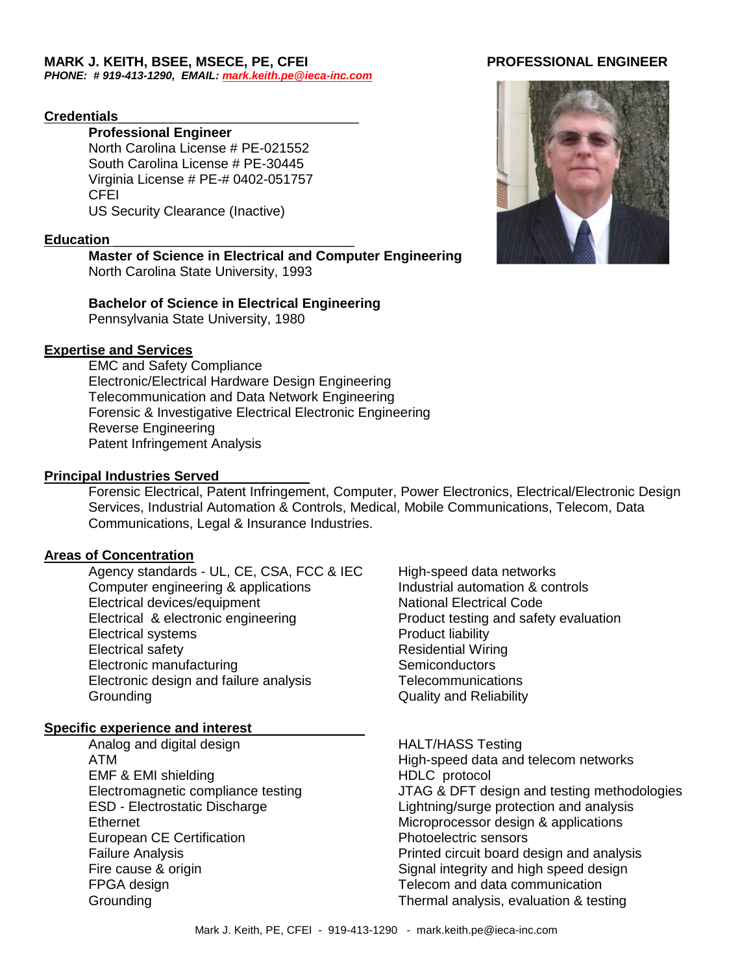### **MARK J. KEITH, BSEE, MSECE, PE, CFEI PROFESSIONAL ENGINEER**

*PHONE: # 919-413-1290, EMAIL: [mark.keith.pe@ieca-inc.com](mailto:mark.keith.pe@ieca-inc.com)*

#### **Credentials**\_\_\_\_\_\_\_\_\_\_\_\_\_\_\_\_\_\_\_\_\_\_\_\_\_\_\_\_\_\_\_\_

#### **Professional Engineer**

North Carolina License # PE-021552 South Carolina License # PE-30445 Virginia License # PE-# 0402-051757 CFEI US Security Clearance (Inactive)

#### Education

#### **Master of Science in Electrical and Computer Engineering** North Carolina State University, 1993

# **Bachelor of Science in Electrical Engineering**

Pennsylvania State University, 1980

#### **Expertise and Services**

EMC and Safety Compliance Electronic/Electrical Hardware Design Engineering Telecommunication and Data Network Engineering Forensic & Investigative Electrical Electronic Engineering Reverse Engineering Patent Infringement Analysis

#### **Principal Industries Served**\_\_\_\_\_\_\_\_\_\_\_\_

Forensic Electrical, Patent Infringement, Computer, Power Electronics, Electrical/Electronic Design Services, Industrial Automation & Controls, Medical, Mobile Communications, Telecom, Data Communications, Legal & Insurance Industries.

### **Areas of Concentration**

Agency standards - UL, CE, CSA, FCC & IEC High-speed data networks Computer engineering & applications Industrial automation & controls Electrical devices/equipment National Electrical Code Electrical & electronic engineering **Product testing and safety evaluation** Electrical systems **Product** liability Electrical safety **Residential Wiring** Residential Wiring Electronic manufacturing Electronic manufacturing Semiconductors Electronic design and failure analysis Telecommunications Grounding Grounding Contract Contract Contract Contract Contract Contract Contract Contract Contract Contract Contract Contract Contract Contract Contract Contract Contract Contract Contract Contract Contract Contract Cont

#### **Specific experience and interest**\_\_\_\_\_\_\_\_\_\_\_\_\_\_\_

- Analog and digital design National Management HALT/HASS Testing EMF & EMI shielding **HDLC** protocol European CE Certification **European CE Certification** FPGA design Telecom and data communication
- 

ATM High-speed data and telecom networks Electromagnetic compliance testing JTAG & DFT design and testing methodologies ESD - Electrostatic Discharge Lightning/surge protection and analysis Ethernet Microprocessor design & applications Failure Analysis Printed circuit board design and analysis Fire cause & origin The Signal integrity and high speed design Grounding Thermal analysis, evaluation & testing

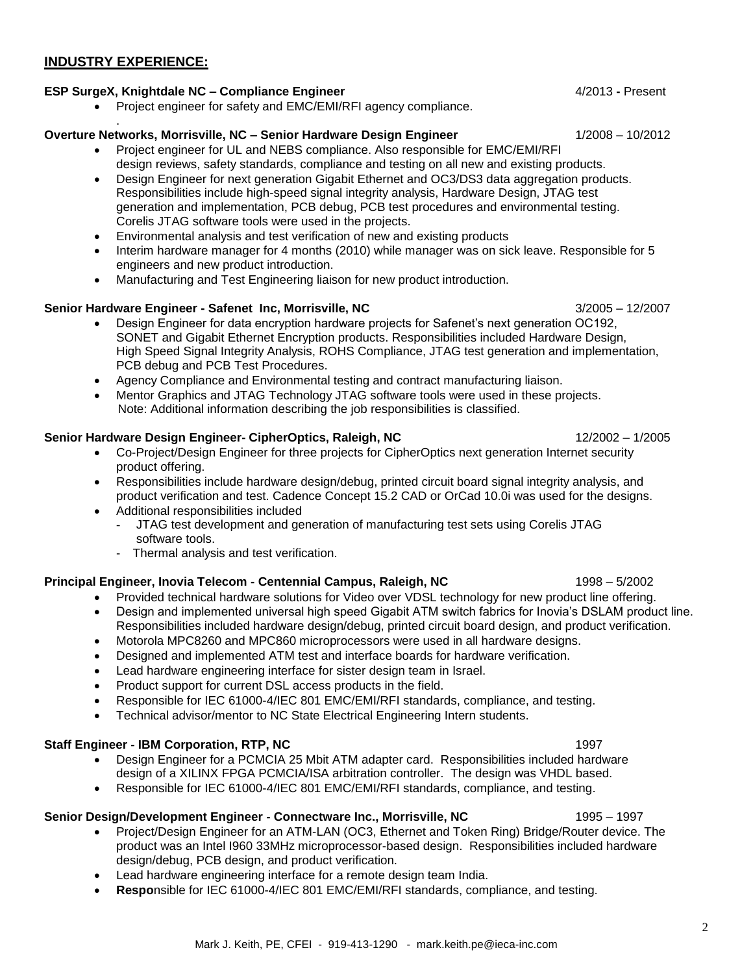#### **INDUSTRY EXPERIENCE:**

#### **ESP SurgeX, Knightdale NC – Compliance Engineer** 4/2013 **-** Present

• Project engineer for safety and EMC/EMI/RFI agency compliance.

#### . **Overture Networks, Morrisville, NC – Senior Hardware Design Engineer** 1/2008 – 10/2012

- Project engineer for UL and NEBS compliance. Also responsible for EMC/EMI/RFI design reviews, safety standards, compliance and testing on all new and existing products.
- Design Engineer for next generation Gigabit Ethernet and OC3/DS3 data aggregation products. Responsibilities include high-speed signal integrity analysis, Hardware Design, JTAG test generation and implementation, PCB debug, PCB test procedures and environmental testing. Corelis JTAG software tools were used in the projects.
- Environmental analysis and test verification of new and existing products
- Interim hardware manager for 4 months (2010) while manager was on sick leave. Responsible for 5 engineers and new product introduction.
- Manufacturing and Test Engineering liaison for new product introduction.

#### **Senior Hardware Engineer - Safenet Inc, Morrisville, NC** 3/2005 – 12/2007

- Design Engineer for data encryption hardware projects for Safenet's next generation OC192, SONET and Gigabit Ethernet Encryption products. Responsibilities included Hardware Design, High Speed Signal Integrity Analysis, ROHS Compliance, JTAG test generation and implementation, PCB debug and PCB Test Procedures.
- Agency Compliance and Environmental testing and contract manufacturing liaison.
- Mentor Graphics and JTAG Technology JTAG software tools were used in these projects. Note: Additional information describing the job responsibilities is classified.

#### **Senior Hardware Design Engineer- CipherOptics, Raleigh, NC** 12/2002 – 1/2005 12/2002 – 1/2005

- Co-Project/Design Engineer for three projects for CipherOptics next generation Internet security product offering.
- Responsibilities include hardware design/debug, printed circuit board signal integrity analysis, and product verification and test. Cadence Concept 15.2 CAD or OrCad 10.0i was used for the designs.
- Additional responsibilities included
	- JTAG test development and generation of manufacturing test sets using Corelis JTAG software tools.
	- Thermal analysis and test verification.

#### **Principal Engineer, Inovia Telecom - Centennial Campus, Raleigh, NC** 1998 – 5/2002

- Provided technical hardware solutions for Video over VDSL technology for new product line offering.
- Design and implemented universal high speed Gigabit ATM switch fabrics for Inovia's DSLAM product line. Responsibilities included hardware design/debug, printed circuit board design, and product verification.
- Motorola MPC8260 and MPC860 microprocessors were used in all hardware designs.
- Designed and implemented ATM test and interface boards for hardware verification.
- Lead hardware engineering interface for sister design team in Israel.
- Product support for current DSL access products in the field.
- Responsible for IEC 61000-4/IEC 801 EMC/EMI/RFI standards, compliance, and testing.
- Technical advisor/mentor to NC State Electrical Engineering Intern students.

#### **Staff Engineer - IBM Corporation, RTP, NC** 1997

- Design Engineer for a PCMCIA 25 Mbit ATM adapter card. Responsibilities included hardware design of a XILINX FPGA PCMCIA/ISA arbitration controller. The design was VHDL based.
- Responsible for IEC 61000-4/IEC 801 EMC/EMI/RFI standards, compliance, and testing.

#### **Senior Design/Development Engineer - Connectware Inc., Morrisville, NC** 1995 – 1997

- Project/Design Engineer for an ATM-LAN (OC3, Ethernet and Token Ring) Bridge/Router device. The product was an Intel I960 33MHz microprocessor-based design. Responsibilities included hardware design/debug, PCB design, and product verification.
- Lead hardware engineering interface for a remote design team India.
- **Respo**nsible for IEC 61000-4/IEC 801 EMC/EMI/RFI standards, compliance, and testing.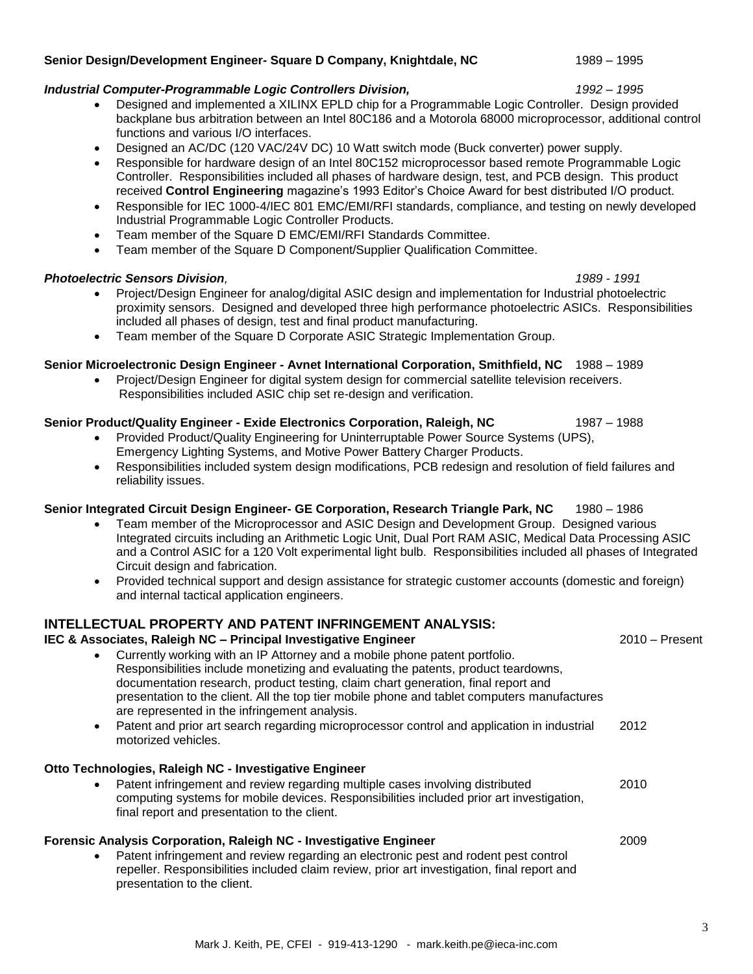# **Senior Design/Development Engineer- Square D Company, Knightdale, NC** 1989 – 1995

# *Industrial Computer-Programmable Logic Controllers Division, 1992* – *1995*

- Designed and implemented a XILINX EPLD chip for a Programmable Logic Controller. Design provided backplane bus arbitration between an Intel 80C186 and a Motorola 68000 microprocessor, additional control functions and various I/O interfaces.
- Designed an AC/DC (120 VAC/24V DC) 10 Watt switch mode (Buck converter) power supply.
- Responsible for hardware design of an Intel 80C152 microprocessor based remote Programmable Logic Controller. Responsibilities included all phases of hardware design, test, and PCB design. This product received **Control Engineering** magazine's 1993 Editor's Choice Award for best distributed I/O product.
- Responsible for IEC 1000-4/IEC 801 EMC/EMI/RFI standards, compliance, and testing on newly developed Industrial Programmable Logic Controller Products.
- Team member of the Square D EMC/EMI/RFI Standards Committee.
- Team member of the Square D Component/Supplier Qualification Committee.

# *Photoelectric Sensors Division, 1989 - 1991*

- Project/Design Engineer for analog/digital ASIC design and implementation for Industrial photoelectric proximity sensors. Designed and developed three high performance photoelectric ASICs. Responsibilities included all phases of design, test and final product manufacturing.
- Team member of the Square D Corporate ASIC Strategic Implementation Group.

# **Senior Microelectronic Design Engineer - Avnet International Corporation, Smithfield, NC** 1988 – 1989

 Project/Design Engineer for digital system design for commercial satellite television receivers. Responsibilities included ASIC chip set re-design and verification.

# **Senior Product/Quality Engineer - Exide Electronics Corporation, Raleigh, NC** 1987 – 1988

- Provided Product/Quality Engineering for Uninterruptable Power Source Systems (UPS), Emergency Lighting Systems, and Motive Power Battery Charger Products.
- Responsibilities included system design modifications, PCB redesign and resolution of field failures and reliability issues.

# **Senior Integrated Circuit Design Engineer- GE Corporation, Research Triangle Park, NC** 1980 – 1986

- Team member of the Microprocessor and ASIC Design and Development Group. Designed various Integrated circuits including an Arithmetic Logic Unit, Dual Port RAM ASIC, Medical Data Processing ASIC and a Control ASIC for a 120 Volt experimental light bulb. Responsibilities included all phases of Integrated Circuit design and fabrication.
- Provided technical support and design assistance for strategic customer accounts (domestic and foreign) and internal tactical application engineers.

# **INTELLECTUAL PROPERTY AND PATENT INFRINGEMENT ANALYSIS:**

# **IEC & Associates, Raleigh NC – Principal Investigative Engineer** 2010 – Present

- Currently working with an IP Attorney and a mobile phone patent portfolio. Responsibilities include monetizing and evaluating the patents, product teardowns, documentation research, product testing, claim chart generation, final report and presentation to the client. All the top tier mobile phone and tablet computers manufactures are represented in the infringement analysis.
- Patent and prior art search regarding microprocessor control and application in industrial 2012 motorized vehicles.

# **Otto Technologies, Raleigh NC - Investigative Engineer**

 Patent infringement and review regarding multiple cases involving distributed 2010 computing systems for mobile devices. Responsibilities included prior art investigation, final report and presentation to the client.

# **Forensic Analysis Corporation, Raleigh NC - Investigative Engineer** 2009

 Patent infringement and review regarding an electronic pest and rodent pest control repeller. Responsibilities included claim review, prior art investigation, final report and presentation to the client.

3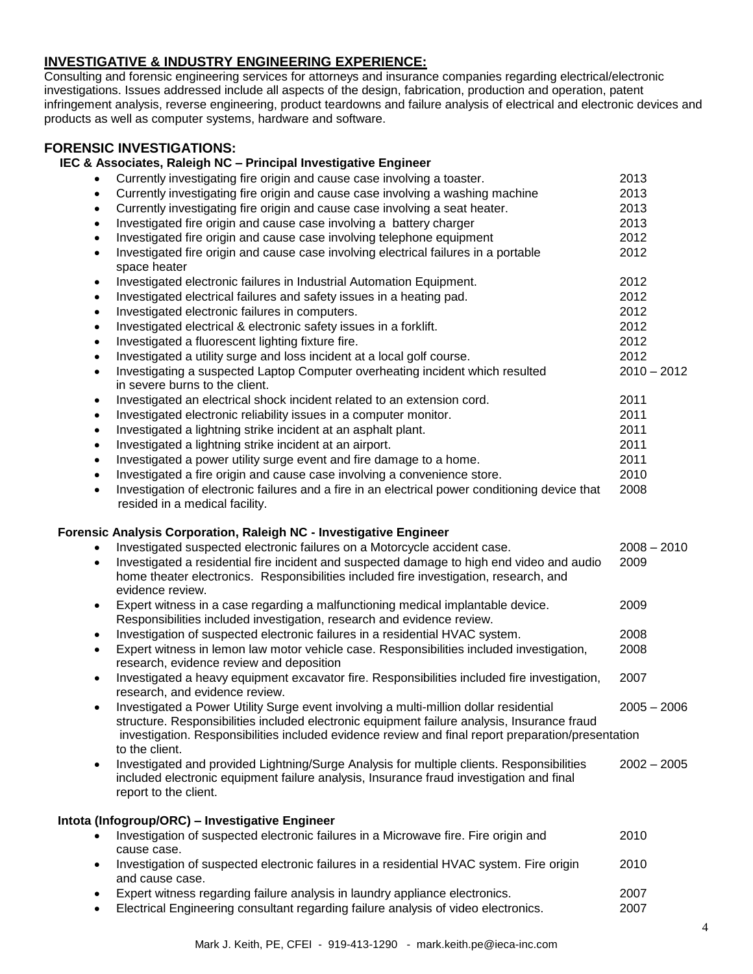# **INVESTIGATIVE & INDUSTRY ENGINEERING EXPERIENCE:**

Consulting and forensic engineering services for attorneys and insurance companies regarding electrical/electronic investigations. Issues addressed include all aspects of the design, fabrication, production and operation, patent infringement analysis, reverse engineering, product teardowns and failure analysis of electrical and electronic devices and products as well as computer systems, hardware and software.

#### **FORENSIC INVESTIGATIONS:**

| IEC & Associates, Raleigh NC - Principal Investigative Engineer                                                                                   |               |
|---------------------------------------------------------------------------------------------------------------------------------------------------|---------------|
| Currently investigating fire origin and cause case involving a toaster.                                                                           | 2013          |
| Currently investigating fire origin and cause case involving a washing machine<br>$\bullet$                                                       | 2013          |
| Currently investigating fire origin and cause case involving a seat heater.<br>$\bullet$                                                          | 2013          |
| Investigated fire origin and cause case involving a battery charger<br>$\bullet$                                                                  | 2013          |
| Investigated fire origin and cause case involving telephone equipment<br>$\bullet$                                                                | 2012          |
| Investigated fire origin and cause case involving electrical failures in a portable<br>$\bullet$                                                  | 2012          |
| space heater                                                                                                                                      |               |
| Investigated electronic failures in Industrial Automation Equipment.<br>$\bullet$                                                                 | 2012          |
| Investigated electrical failures and safety issues in a heating pad.<br>$\bullet$                                                                 | 2012          |
| Investigated electronic failures in computers.<br>$\bullet$                                                                                       | 2012          |
| Investigated electrical & electronic safety issues in a forklift.<br>$\bullet$                                                                    | 2012          |
| Investigated a fluorescent lighting fixture fire.<br>$\bullet$                                                                                    | 2012          |
| Investigated a utility surge and loss incident at a local golf course.<br>$\bullet$                                                               | 2012          |
| Investigating a suspected Laptop Computer overheating incident which resulted<br>$\bullet$                                                        | $2010 - 2012$ |
| in severe burns to the client.                                                                                                                    |               |
| Investigated an electrical shock incident related to an extension cord.<br>$\bullet$                                                              | 2011          |
| Investigated electronic reliability issues in a computer monitor.<br>$\bullet$                                                                    | 2011          |
| Investigated a lightning strike incident at an asphalt plant.<br>$\bullet$                                                                        | 2011          |
| Investigated a lightning strike incident at an airport.<br>$\bullet$                                                                              | 2011          |
| Investigated a power utility surge event and fire damage to a home.<br>$\bullet$                                                                  | 2011          |
| Investigated a fire origin and cause case involving a convenience store.<br>$\bullet$                                                             | 2010          |
| Investigation of electronic failures and a fire in an electrical power conditioning device that<br>$\bullet$                                      | 2008          |
| resided in a medical facility.                                                                                                                    |               |
| Forensic Analysis Corporation, Raleigh NC - Investigative Engineer                                                                                |               |
| Investigated suspected electronic failures on a Motorcycle accident case.<br>$\bullet$                                                            | $2008 - 2010$ |
| Investigated a residential fire incident and suspected damage to high end video and audio<br>$\bullet$                                            | 2009          |
| home theater electronics. Responsibilities included fire investigation, research, and                                                             |               |
| evidence review.                                                                                                                                  |               |
| Expert witness in a case regarding a malfunctioning medical implantable device.<br>$\bullet$                                                      | 2009          |
| Responsibilities included investigation, research and evidence review.                                                                            |               |
| Investigation of suspected electronic failures in a residential HVAC system.<br>$\bullet$                                                         | 2008          |
| Expert witness in lemon law motor vehicle case. Responsibilities included investigation,<br>$\bullet$<br>research, evidence review and deposition | 2008          |
| Investigated a heavy equipment excavator fire. Responsibilities included fire investigation,<br>$\bullet$<br>research, and evidence review.       | 2007          |
| Investigated a Power Utility Surge event involving a multi-million dollar residential<br>٠                                                        | $2005 - 2006$ |
| structure. Responsibilities included electronic equipment failure analysis, Insurance fraud                                                       |               |
| investigation. Responsibilities included evidence review and final report preparation/presentation                                                |               |
| to the client.                                                                                                                                    |               |
| Investigated and provided Lightning/Surge Analysis for multiple clients. Responsibilities<br>$\bullet$                                            | $2002 - 2005$ |
| included electronic equipment failure analysis, Insurance fraud investigation and final                                                           |               |
| report to the client.                                                                                                                             |               |
| Intota (Infogroup/ORC) - Investigative Engineer                                                                                                   |               |
| Investigation of suspected electronic failures in a Microwave fire. Fire origin and<br>$\bullet$                                                  | 2010          |
| cause case.                                                                                                                                       |               |
| Investigation of suspected electronic failures in a residential HVAC system. Fire origin<br>$\bullet$                                             | 2010          |
| and cause case.                                                                                                                                   |               |
| Expert witness regarding failure analysis in laundry appliance electronics.                                                                       | 2007          |
| Electrical Engineering consultant regarding failure analysis of video electronics.<br>$\bullet$                                                   | 2007          |

Mark J. Keith, PE, CFEI - 919-413-1290 - mark.keith.pe@ieca-inc.com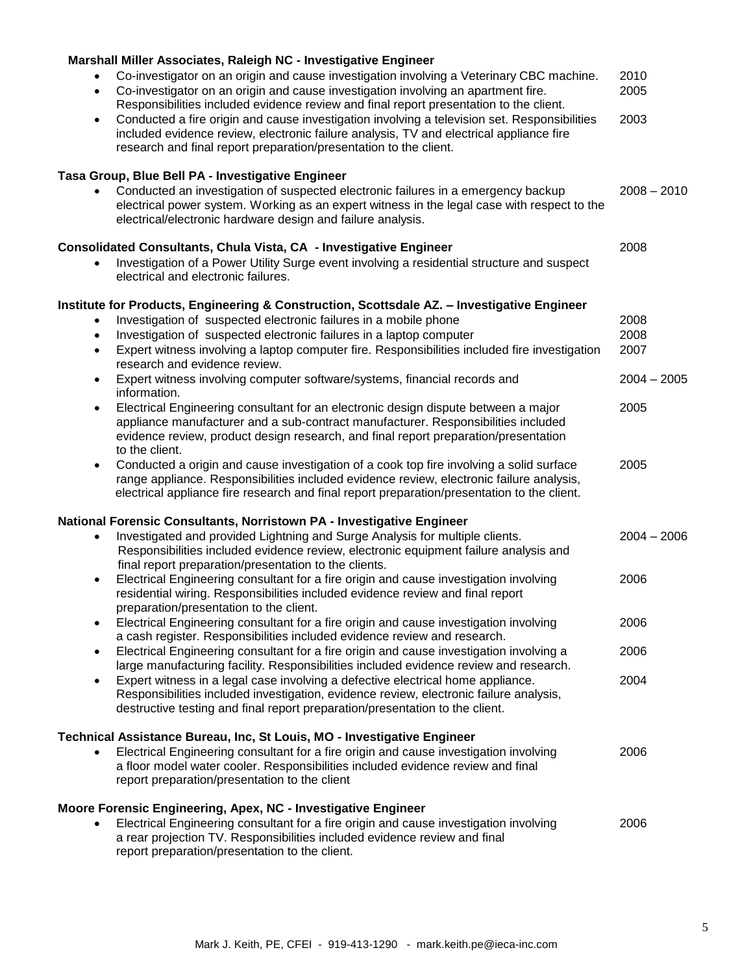| Marshall Miller Associates, Raleigh NC - Investigative Engineer                                                                                                                                                                                                                                 |               |
|-------------------------------------------------------------------------------------------------------------------------------------------------------------------------------------------------------------------------------------------------------------------------------------------------|---------------|
| Co-investigator on an origin and cause investigation involving a Veterinary CBC machine.<br>Co-investigator on an origin and cause investigation involving an apartment fire.<br>$\bullet$<br>Responsibilities included evidence review and final report presentation to the client.            | 2010<br>2005  |
| Conducted a fire origin and cause investigation involving a television set. Responsibilities<br>$\bullet$<br>included evidence review, electronic failure analysis, TV and electrical appliance fire<br>research and final report preparation/presentation to the client.                       | 2003          |
| Tasa Group, Blue Bell PA - Investigative Engineer                                                                                                                                                                                                                                               |               |
| Conducted an investigation of suspected electronic failures in a emergency backup<br>electrical power system. Working as an expert witness in the legal case with respect to the<br>electrical/electronic hardware design and failure analysis.                                                 | $2008 - 2010$ |
| Consolidated Consultants, Chula Vista, CA - Investigative Engineer                                                                                                                                                                                                                              | 2008          |
| Investigation of a Power Utility Surge event involving a residential structure and suspect<br>electrical and electronic failures.                                                                                                                                                               |               |
| Institute for Products, Engineering & Construction, Scottsdale AZ. - Investigative Engineer                                                                                                                                                                                                     |               |
| Investigation of suspected electronic failures in a mobile phone<br>$\bullet$                                                                                                                                                                                                                   | 2008          |
| Investigation of suspected electronic failures in a laptop computer<br>$\bullet$                                                                                                                                                                                                                | 2008          |
| Expert witness involving a laptop computer fire. Responsibilities included fire investigation<br>$\bullet$<br>research and evidence review.                                                                                                                                                     | 2007          |
| Expert witness involving computer software/systems, financial records and<br>$\bullet$<br>information.                                                                                                                                                                                          | $2004 - 2005$ |
| Electrical Engineering consultant for an electronic design dispute between a major<br>$\bullet$<br>appliance manufacturer and a sub-contract manufacturer. Responsibilities included<br>evidence review, product design research, and final report preparation/presentation<br>to the client.   | 2005          |
| Conducted a origin and cause investigation of a cook top fire involving a solid surface<br>$\bullet$<br>range appliance. Responsibilities included evidence review, electronic failure analysis,<br>electrical appliance fire research and final report preparation/presentation to the client. | 2005          |
| National Forensic Consultants, Norristown PA - Investigative Engineer                                                                                                                                                                                                                           |               |
| Investigated and provided Lightning and Surge Analysis for multiple clients.<br>$\bullet$<br>Responsibilities included evidence review, electronic equipment failure analysis and<br>final report preparation/presentation to the clients.                                                      | $2004 - 2006$ |
| Electrical Engineering consultant for a fire origin and cause investigation involving<br>$\bullet$<br>residential wiring. Responsibilities included evidence review and final report                                                                                                            | 2006          |
| preparation/presentation to the client.<br>Electrical Engineering consultant for a fire origin and cause investigation involving<br>$\bullet$<br>a cash register. Responsibilities included evidence review and research.                                                                       | 2006          |
| Electrical Engineering consultant for a fire origin and cause investigation involving a<br>$\bullet$<br>large manufacturing facility. Responsibilities included evidence review and research.                                                                                                   | 2006          |
| Expert witness in a legal case involving a defective electrical home appliance.<br>$\bullet$<br>Responsibilities included investigation, evidence review, electronic failure analysis,<br>destructive testing and final report preparation/presentation to the client.                          | 2004          |
| Technical Assistance Bureau, Inc, St Louis, MO - Investigative Engineer                                                                                                                                                                                                                         |               |
| Electrical Engineering consultant for a fire origin and cause investigation involving<br>a floor model water cooler. Responsibilities included evidence review and final<br>report preparation/presentation to the client                                                                       | 2006          |
| Moore Forensic Engineering, Apex, NC - Investigative Engineer                                                                                                                                                                                                                                   |               |
| Electrical Engineering consultant for a fire origin and cause investigation involving<br>$\bullet$<br>a rear projection TV. Responsibilities included evidence review and final<br>report preparation/presentation to the client.                                                               | 2006          |